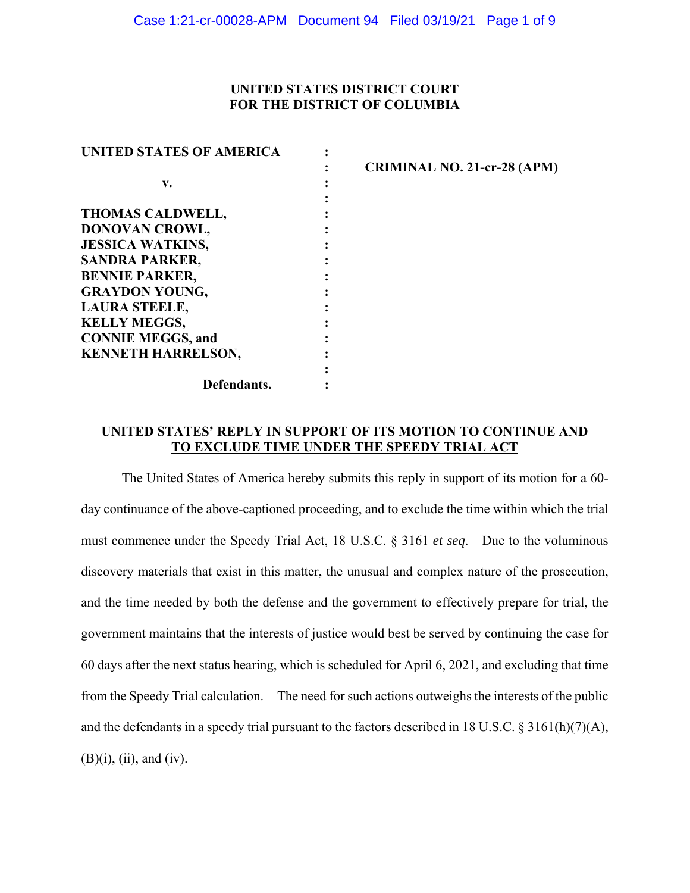## **UNITED STATES DISTRICT COURT FOR THE DISTRICT OF COLUMBIA**

| <b>UNITED STATES OF AMERICA</b> |  |
|---------------------------------|--|
|                                 |  |
| v.                              |  |
|                                 |  |
| <b>THOMAS CALDWELL,</b>         |  |
| DONOVAN CROWL,                  |  |
| <b>JESSICA WATKINS,</b>         |  |
| <b>SANDRA PARKER,</b>           |  |
| <b>BENNIE PARKER,</b>           |  |
| <b>GRAYDON YOUNG,</b>           |  |
| <b>LAURA STEELE,</b>            |  |
| <b>KELLY MEGGS,</b>             |  |
| <b>CONNIE MEGGS, and</b>        |  |
| <b>KENNETH HARRELSON,</b>       |  |
|                                 |  |
| Defendants.                     |  |
|                                 |  |

**: CRIMINAL NO. 21-cr-28 (APM)** 

## **UNITED STATES' REPLY IN SUPPORT OF ITS MOTION TO CONTINUE AND TO EXCLUDE TIME UNDER THE SPEEDY TRIAL ACT**

The United States of America hereby submits this reply in support of its motion for a 60 day continuance of the above-captioned proceeding, and to exclude the time within which the trial must commence under the Speedy Trial Act, 18 U.S.C. § 3161 *et seq*. Due to the voluminous discovery materials that exist in this matter, the unusual and complex nature of the prosecution, and the time needed by both the defense and the government to effectively prepare for trial, the government maintains that the interests of justice would best be served by continuing the case for 60 days after the next status hearing, which is scheduled for April 6, 2021, and excluding that time from the Speedy Trial calculation. The need for such actions outweighs the interests of the public and the defendants in a speedy trial pursuant to the factors described in 18 U.S.C. § 3161(h)(7)(A), (B)(i), (ii), and (iv).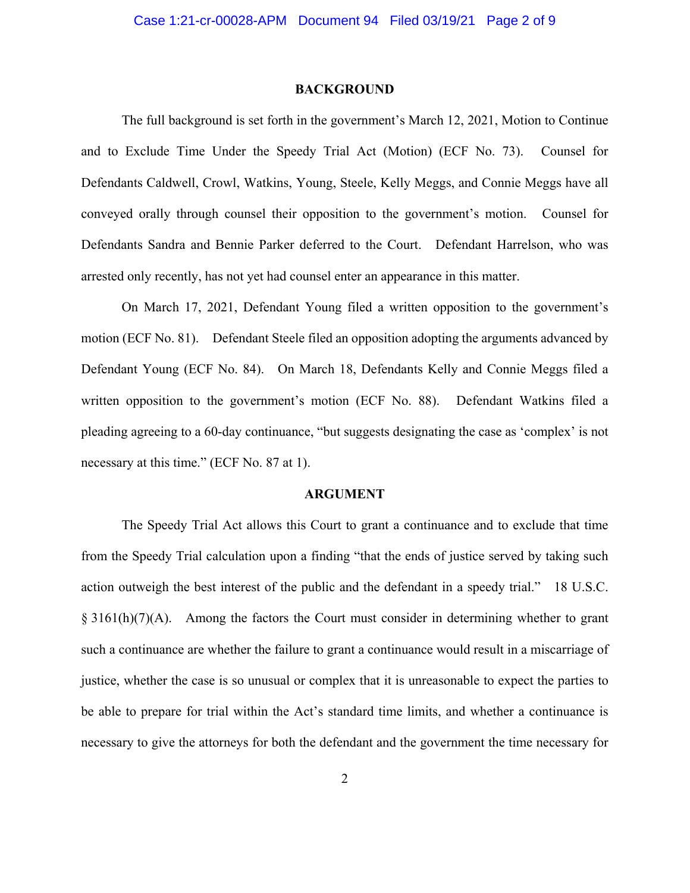#### **BACKGROUND**

The full background is set forth in the government's March 12, 2021, Motion to Continue and to Exclude Time Under the Speedy Trial Act (Motion) (ECF No. 73). Counsel for Defendants Caldwell, Crowl, Watkins, Young, Steele, Kelly Meggs, and Connie Meggs have all conveyed orally through counsel their opposition to the government's motion. Counsel for Defendants Sandra and Bennie Parker deferred to the Court. Defendant Harrelson, who was arrested only recently, has not yet had counsel enter an appearance in this matter.

On March 17, 2021, Defendant Young filed a written opposition to the government's motion (ECF No. 81). Defendant Steele filed an opposition adopting the arguments advanced by Defendant Young (ECF No. 84). On March 18, Defendants Kelly and Connie Meggs filed a written opposition to the government's motion (ECF No. 88). Defendant Watkins filed a pleading agreeing to a 60-day continuance, "but suggests designating the case as 'complex' is not necessary at this time." (ECF No. 87 at 1).

#### **ARGUMENT**

The Speedy Trial Act allows this Court to grant a continuance and to exclude that time from the Speedy Trial calculation upon a finding "that the ends of justice served by taking such action outweigh the best interest of the public and the defendant in a speedy trial." 18 U.S.C.  $§ 3161(h)(7)(A)$ . Among the factors the Court must consider in determining whether to grant such a continuance are whether the failure to grant a continuance would result in a miscarriage of justice, whether the case is so unusual or complex that it is unreasonable to expect the parties to be able to prepare for trial within the Act's standard time limits, and whether a continuance is necessary to give the attorneys for both the defendant and the government the time necessary for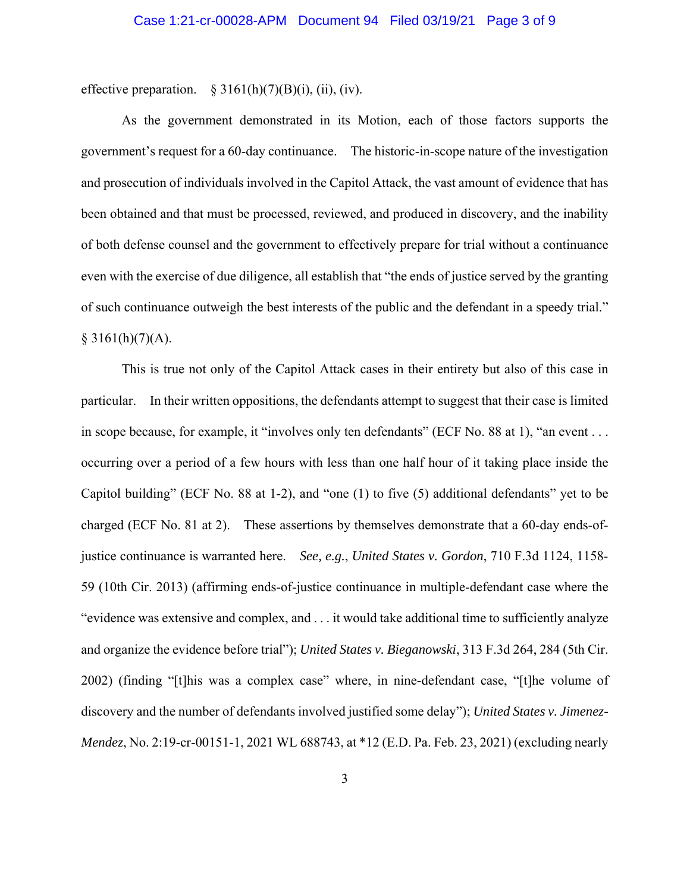effective preparation.  $\S 3161(h)(7)(B)(i)$ , (ii), (iv).

As the government demonstrated in its Motion, each of those factors supports the government's request for a 60-day continuance. The historic-in-scope nature of the investigation and prosecution of individuals involved in the Capitol Attack, the vast amount of evidence that has been obtained and that must be processed, reviewed, and produced in discovery, and the inability of both defense counsel and the government to effectively prepare for trial without a continuance even with the exercise of due diligence, all establish that "the ends of justice served by the granting of such continuance outweigh the best interests of the public and the defendant in a speedy trial."  $§ 3161(h)(7)(A).$ 

This is true not only of the Capitol Attack cases in their entirety but also of this case in particular. In their written oppositions, the defendants attempt to suggest that their case is limited in scope because, for example, it "involves only ten defendants" (ECF No. 88 at 1), "an event . . . occurring over a period of a few hours with less than one half hour of it taking place inside the Capitol building" (ECF No. 88 at 1-2), and "one (1) to five (5) additional defendants" yet to be charged (ECF No. 81 at 2). These assertions by themselves demonstrate that a 60-day ends-ofjustice continuance is warranted here. *See, e.g.*, *United States v. Gordon*, 710 F.3d 1124, 1158- 59 (10th Cir. 2013) (affirming ends-of-justice continuance in multiple-defendant case where the "evidence was extensive and complex, and . . . it would take additional time to sufficiently analyze and organize the evidence before trial"); *United States v. Bieganowski*, 313 F.3d 264, 284 (5th Cir. 2002) (finding "[t]his was a complex case" where, in nine-defendant case, "[t]he volume of discovery and the number of defendants involved justified some delay"); *United States v. Jimenez-Mendez*, No. 2:19-cr-00151-1, 2021 WL 688743, at \*12 (E.D. Pa. Feb. 23, 2021) (excluding nearly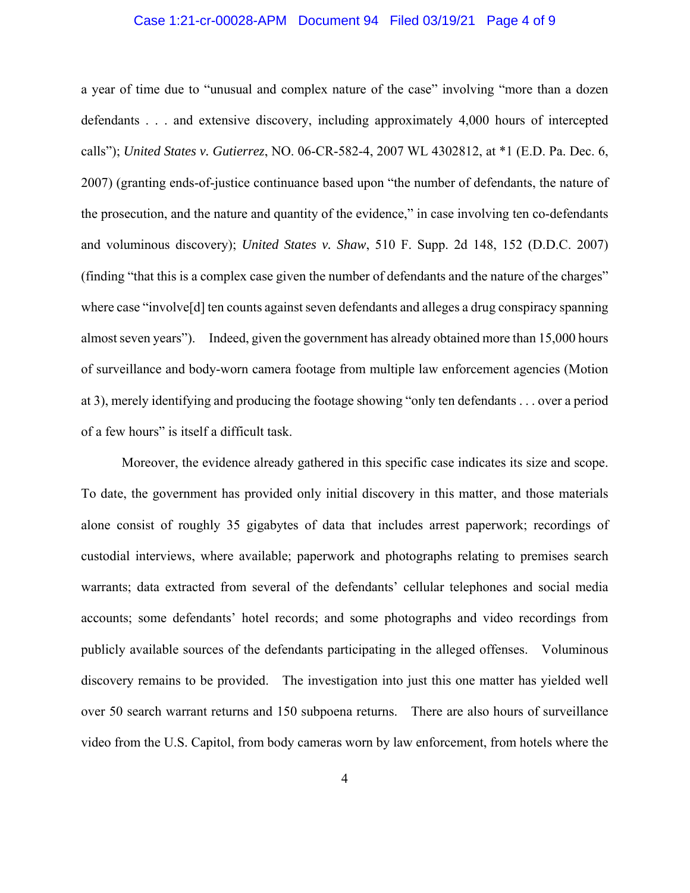### Case 1:21-cr-00028-APM Document 94 Filed 03/19/21 Page 4 of 9

a year of time due to "unusual and complex nature of the case" involving "more than a dozen defendants . . . and extensive discovery, including approximately 4,000 hours of intercepted calls"); *United States v. Gutierrez*, NO. 06-CR-582-4, 2007 WL 4302812, at \*1 (E.D. Pa. Dec. 6, 2007) (granting ends-of-justice continuance based upon "the number of defendants, the nature of the prosecution, and the nature and quantity of the evidence," in case involving ten co-defendants and voluminous discovery); *United States v. Shaw*, 510 F. Supp. 2d 148, 152 (D.D.C. 2007) (finding "that this is a complex case given the number of defendants and the nature of the charges" where case "involve<sup>[d]</sup> ten counts against seven defendants and alleges a drug conspiracy spanning almost seven years"). Indeed, given the government has already obtained more than 15,000 hours of surveillance and body-worn camera footage from multiple law enforcement agencies (Motion at 3), merely identifying and producing the footage showing "only ten defendants . . . over a period of a few hours" is itself a difficult task.

Moreover, the evidence already gathered in this specific case indicates its size and scope. To date, the government has provided only initial discovery in this matter, and those materials alone consist of roughly 35 gigabytes of data that includes arrest paperwork; recordings of custodial interviews, where available; paperwork and photographs relating to premises search warrants; data extracted from several of the defendants' cellular telephones and social media accounts; some defendants' hotel records; and some photographs and video recordings from publicly available sources of the defendants participating in the alleged offenses. Voluminous discovery remains to be provided. The investigation into just this one matter has yielded well over 50 search warrant returns and 150 subpoena returns. There are also hours of surveillance video from the U.S. Capitol, from body cameras worn by law enforcement, from hotels where the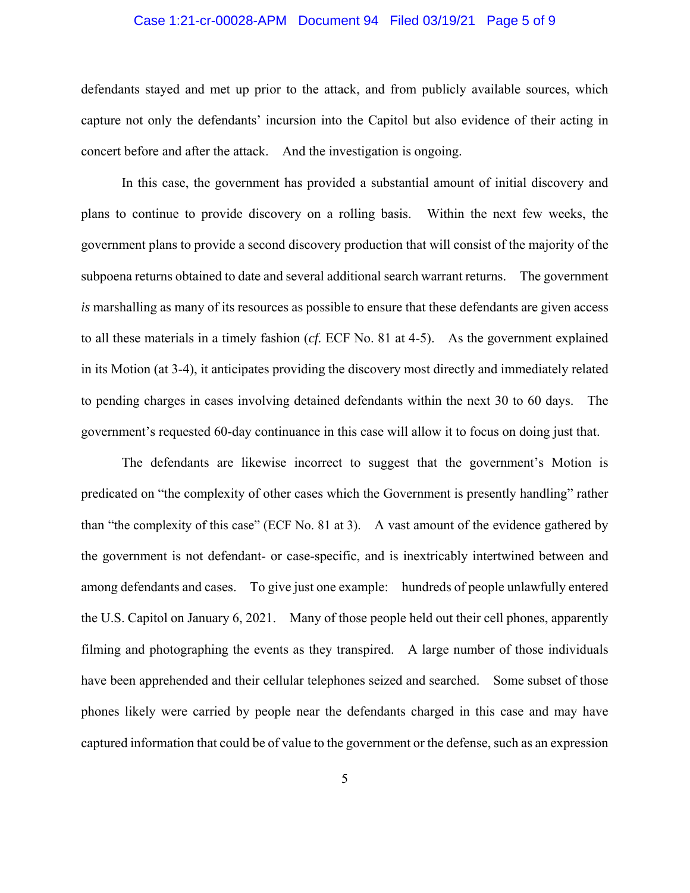## Case 1:21-cr-00028-APM Document 94 Filed 03/19/21 Page 5 of 9

defendants stayed and met up prior to the attack, and from publicly available sources, which capture not only the defendants' incursion into the Capitol but also evidence of their acting in concert before and after the attack. And the investigation is ongoing.

In this case, the government has provided a substantial amount of initial discovery and plans to continue to provide discovery on a rolling basis. Within the next few weeks, the government plans to provide a second discovery production that will consist of the majority of the subpoena returns obtained to date and several additional search warrant returns. The government *is* marshalling as many of its resources as possible to ensure that these defendants are given access to all these materials in a timely fashion (*cf.* ECF No. 81 at 4-5). As the government explained in its Motion (at 3-4), it anticipates providing the discovery most directly and immediately related to pending charges in cases involving detained defendants within the next 30 to 60 days. The government's requested 60-day continuance in this case will allow it to focus on doing just that.

The defendants are likewise incorrect to suggest that the government's Motion is predicated on "the complexity of other cases which the Government is presently handling" rather than "the complexity of this case" (ECF No. 81 at 3). A vast amount of the evidence gathered by the government is not defendant- or case-specific, and is inextricably intertwined between and among defendants and cases. To give just one example: hundreds of people unlawfully entered the U.S. Capitol on January 6, 2021. Many of those people held out their cell phones, apparently filming and photographing the events as they transpired. A large number of those individuals have been apprehended and their cellular telephones seized and searched. Some subset of those phones likely were carried by people near the defendants charged in this case and may have captured information that could be of value to the government or the defense, such as an expression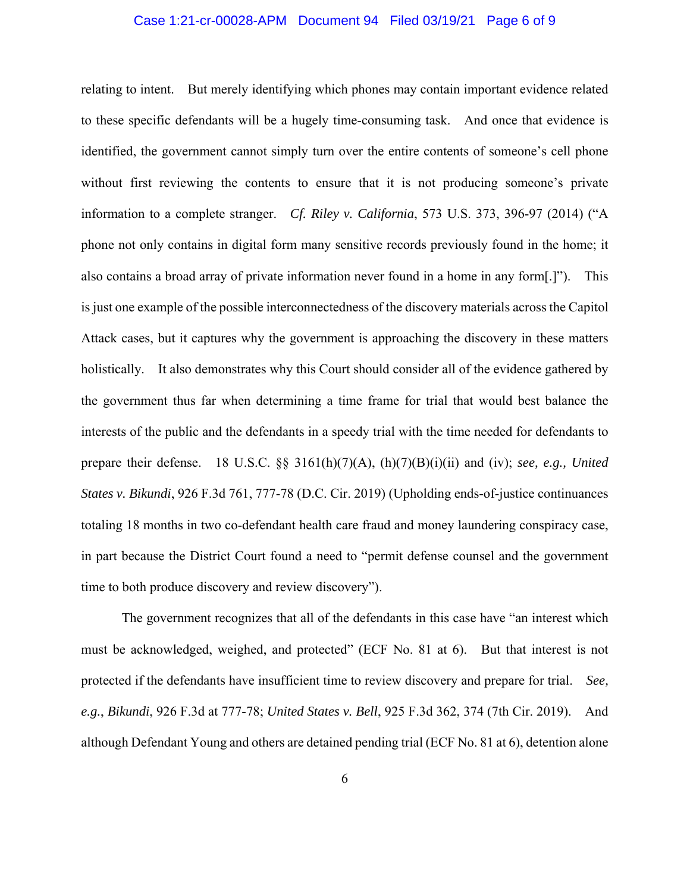## Case 1:21-cr-00028-APM Document 94 Filed 03/19/21 Page 6 of 9

relating to intent. But merely identifying which phones may contain important evidence related to these specific defendants will be a hugely time-consuming task. And once that evidence is identified, the government cannot simply turn over the entire contents of someone's cell phone without first reviewing the contents to ensure that it is not producing someone's private information to a complete stranger. *Cf. Riley v. California*, 573 U.S. 373, 396-97 (2014) ("A phone not only contains in digital form many sensitive records previously found in the home; it also contains a broad array of private information never found in a home in any form[.]"). This is just one example of the possible interconnectedness of the discovery materials across the Capitol Attack cases, but it captures why the government is approaching the discovery in these matters holistically. It also demonstrates why this Court should consider all of the evidence gathered by the government thus far when determining a time frame for trial that would best balance the interests of the public and the defendants in a speedy trial with the time needed for defendants to prepare their defense. 18 U.S.C. §§ 3161(h)(7)(A), (h)(7)(B)(i)(ii) and (iv); *see, e.g., United States v. Bikundi*, 926 F.3d 761, 777-78 (D.C. Cir. 2019) (Upholding ends-of-justice continuances totaling 18 months in two co-defendant health care fraud and money laundering conspiracy case, in part because the District Court found a need to "permit defense counsel and the government time to both produce discovery and review discovery").

The government recognizes that all of the defendants in this case have "an interest which must be acknowledged, weighed, and protected" (ECF No. 81 at 6). But that interest is not protected if the defendants have insufficient time to review discovery and prepare for trial. *See, e.g.*, *Bikundi*, 926 F.3d at 777-78; *United States v. Bell*, 925 F.3d 362, 374 (7th Cir. 2019). And although Defendant Young and others are detained pending trial (ECF No. 81 at 6), detention alone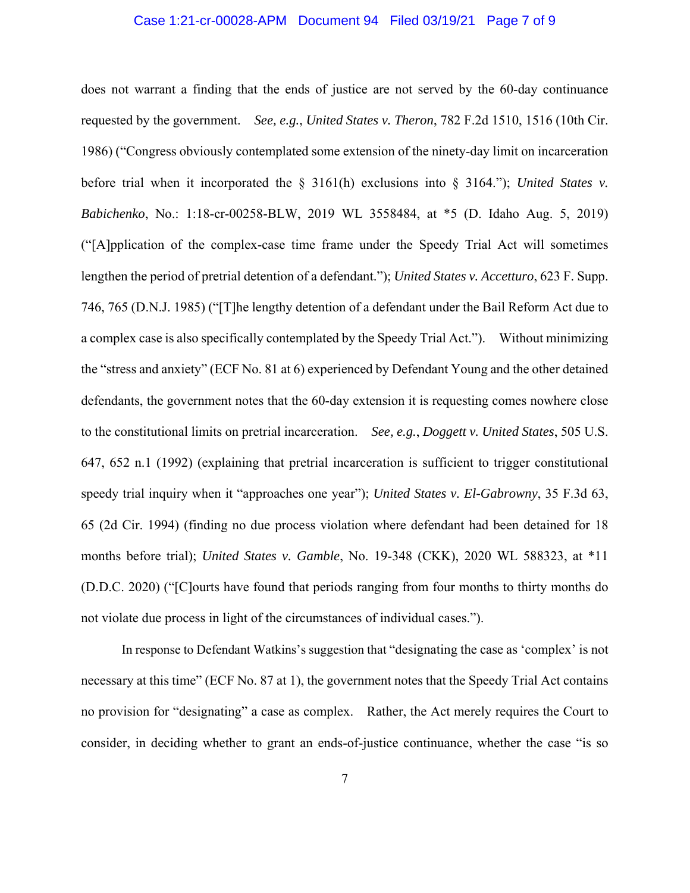## Case 1:21-cr-00028-APM Document 94 Filed 03/19/21 Page 7 of 9

does not warrant a finding that the ends of justice are not served by the 60-day continuance requested by the government. *See, e.g.*, *United States v. Theron*, 782 F.2d 1510, 1516 (10th Cir. 1986) ("Congress obviously contemplated some extension of the ninety-day limit on incarceration before trial when it incorporated the § 3161(h) exclusions into § 3164."); *United States v. Babichenko*, No.: 1:18-cr-00258-BLW, 2019 WL 3558484, at \*5 (D. Idaho Aug. 5, 2019) ("[A]pplication of the complex-case time frame under the Speedy Trial Act will sometimes lengthen the period of pretrial detention of a defendant."); *United States v. Accetturo*, 623 F. Supp. 746, 765 (D.N.J. 1985) ("[T]he lengthy detention of a defendant under the Bail Reform Act due to a complex case is also specifically contemplated by the Speedy Trial Act."). Without minimizing the "stress and anxiety" (ECF No. 81 at 6) experienced by Defendant Young and the other detained defendants, the government notes that the 60-day extension it is requesting comes nowhere close to the constitutional limits on pretrial incarceration. *See, e.g.*, *Doggett v. United States*, 505 U.S. 647, 652 n.1 (1992) (explaining that pretrial incarceration is sufficient to trigger constitutional speedy trial inquiry when it "approaches one year"); *United States v. El-Gabrowny*, 35 F.3d 63, 65 (2d Cir. 1994) (finding no due process violation where defendant had been detained for 18 months before trial); *United States v. Gamble*, No. 19-348 (CKK), 2020 WL 588323, at \*11 (D.D.C. 2020) ("[C]ourts have found that periods ranging from four months to thirty months do not violate due process in light of the circumstances of individual cases.").

In response to Defendant Watkins's suggestion that "designating the case as 'complex' is not necessary at this time" (ECF No. 87 at 1), the government notes that the Speedy Trial Act contains no provision for "designating" a case as complex. Rather, the Act merely requires the Court to consider, in deciding whether to grant an ends-of-justice continuance, whether the case "is so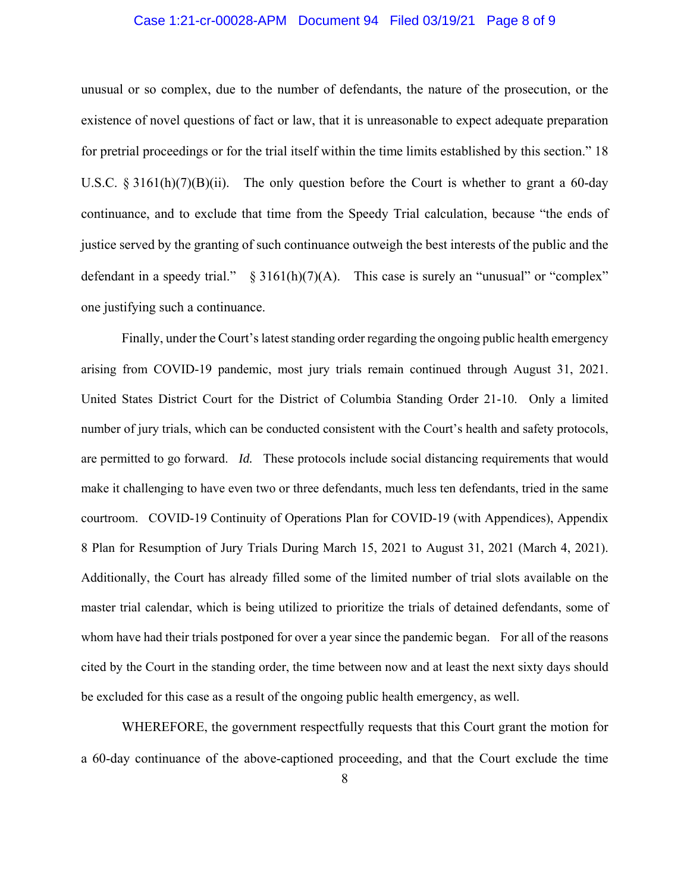## Case 1:21-cr-00028-APM Document 94 Filed 03/19/21 Page 8 of 9

unusual or so complex, due to the number of defendants, the nature of the prosecution, or the existence of novel questions of fact or law, that it is unreasonable to expect adequate preparation for pretrial proceedings or for the trial itself within the time limits established by this section." 18 U.S.C. § 3161(h)(7)(B)(ii). The only question before the Court is whether to grant a 60-day continuance, and to exclude that time from the Speedy Trial calculation, because "the ends of justice served by the granting of such continuance outweigh the best interests of the public and the defendant in a speedy trial."  $\S 3161(h)(7)(A)$ . This case is surely an "unusual" or "complex" one justifying such a continuance.

Finally, under the Court's latest standing order regarding the ongoing public health emergency arising from COVID-19 pandemic, most jury trials remain continued through August 31, 2021. United States District Court for the District of Columbia Standing Order 21-10. Only a limited number of jury trials, which can be conducted consistent with the Court's health and safety protocols, are permitted to go forward. *Id.* These protocols include social distancing requirements that would make it challenging to have even two or three defendants, much less ten defendants, tried in the same courtroom. COVID-19 Continuity of Operations Plan for COVID-19 (with Appendices), Appendix 8 Plan for Resumption of Jury Trials During March 15, 2021 to August 31, 2021 (March 4, 2021). Additionally, the Court has already filled some of the limited number of trial slots available on the master trial calendar, which is being utilized to prioritize the trials of detained defendants, some of whom have had their trials postponed for over a year since the pandemic began. For all of the reasons cited by the Court in the standing order, the time between now and at least the next sixty days should be excluded for this case as a result of the ongoing public health emergency, as well.

WHEREFORE, the government respectfully requests that this Court grant the motion for a 60-day continuance of the above-captioned proceeding, and that the Court exclude the time